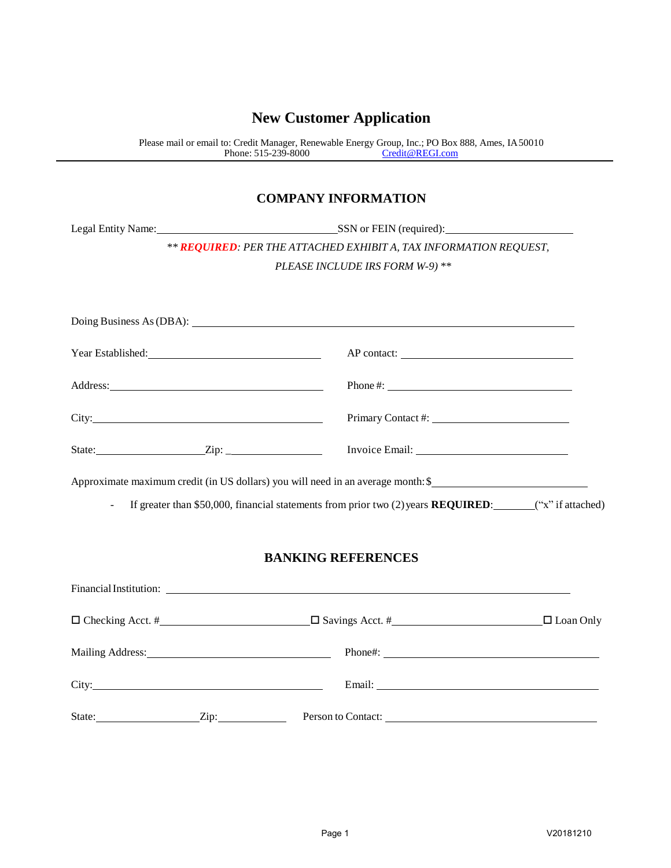## **New Customer Application**

Please mail or email to: Credit Manager, Renewable Energy Group, Inc.; [PO Box](mailto:Credit@REGI.com) 888, Ames, IA50010 Phone: 515-239-8000 [Credit@REGI.com](mailto:Credit@REGI.com)

## **COMPANY INFORMATION**

|                                                   | Legal Entity Name: SSN or FEIN (required):                                                                                                                                                                                     |  |  |  |
|---------------------------------------------------|--------------------------------------------------------------------------------------------------------------------------------------------------------------------------------------------------------------------------------|--|--|--|
|                                                   | ** REQUIRED: PER THE ATTACHED EXHIBIT A, TAX INFORMATION REQUEST,                                                                                                                                                              |  |  |  |
|                                                   | PLEASE INCLUDE IRS FORM W-9) **                                                                                                                                                                                                |  |  |  |
|                                                   |                                                                                                                                                                                                                                |  |  |  |
|                                                   |                                                                                                                                                                                                                                |  |  |  |
| Year Established:                                 |                                                                                                                                                                                                                                |  |  |  |
| Phone #: $\_$                                     |                                                                                                                                                                                                                                |  |  |  |
|                                                   |                                                                                                                                                                                                                                |  |  |  |
| State: $\qquad \qquad \text{Zip: } \qquad \qquad$ |                                                                                                                                                                                                                                |  |  |  |
|                                                   | Approximate maximum credit (in US dollars) you will need in an average month: \$                                                                                                                                               |  |  |  |
| $\mathbf{r}$                                      | If greater than \$50,000, financial statements from prior two (2) years <b>REQUIRED</b> : $(4x^2)^T$ if attached)                                                                                                              |  |  |  |
|                                                   | <b>BANKING REFERENCES</b>                                                                                                                                                                                                      |  |  |  |
|                                                   |                                                                                                                                                                                                                                |  |  |  |
|                                                   | □ Checking Acct. # □ Checking Acct. # □ Checking Acct. # □ Coan Only                                                                                                                                                           |  |  |  |
|                                                   | Mailing Address: National Phone #: National Phone #: National Phone #: National Phone #: National Phone #: National Phone #: National Phone #: National Phone #: National Phone #: National Phone #: National Phone #: Nationa |  |  |  |
|                                                   |                                                                                                                                                                                                                                |  |  |  |
|                                                   | State: <u>Zip:</u> Zip: Person to Contact:                                                                                                                                                                                     |  |  |  |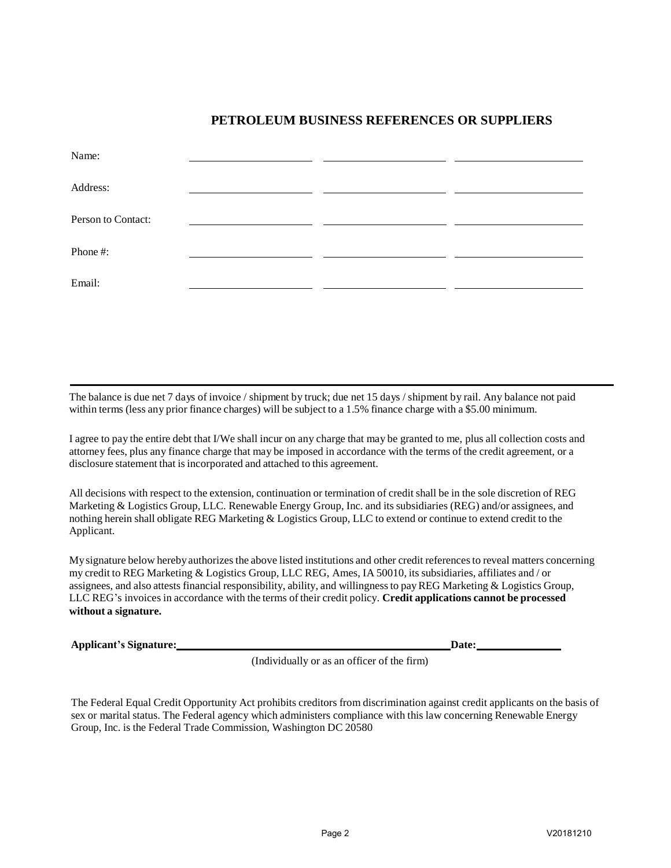## **PETROLEUM BUSINESS REFERENCES OR SUPPLIERS**

| Name:              |  |  |
|--------------------|--|--|
| Address:           |  |  |
| Person to Contact: |  |  |
| Phone#:            |  |  |
| Email:             |  |  |

The balance is due net 7 days of invoice / shipment by truck; due net 15 days / shipment by rail. Any balance not paid within terms (less any prior finance charges) will be subject to a 1.5% finance charge with a \$5.00 minimum.

I agree to pay the entire debt that I/We shall incur on any charge that may be granted to me, plus all collection costs and attorney fees, plus any finance charge that may be imposed in accordance with the terms of the credit agreement, or a disclosure statement that is incorporated and attached to this agreement.

All decisions with respect to the extension, continuation or termination of credit shall be in the sole discretion of REG Marketing & Logistics Group, LLC. Renewable Energy Group, Inc. and its subsidiaries (REG) and/or assignees, and nothing herein shall obligate REG Marketing & Logistics Group, LLC to extend or continue to extend credit to the Applicant.

Mysignature below hereby authorizes the above listed institutions and other credit referencesto reveal matters concerning my credit to REG Marketing & Logistics Group, LLC REG, Ames, IA 50010, its subsidiaries, affiliates and / or assignees, and also attests financial responsibility, ability, and willingnessto payREG Marketing & Logistics Group, LLC REG's invoicesin accordance with the terms of their credit policy. **Credit applications cannot be processed without a signature.**

**Applicant's Signature: Date:**

(Individually or as an officer of the firm)

The Federal Equal Credit Opportunity Act prohibits creditors from discrimination against credit applicants on the basis of sex or marital status. The Federal agency which administers compliance with this law concerning Renewable Energy Group, Inc. is the Federal Trade Commission, Washington DC 20580